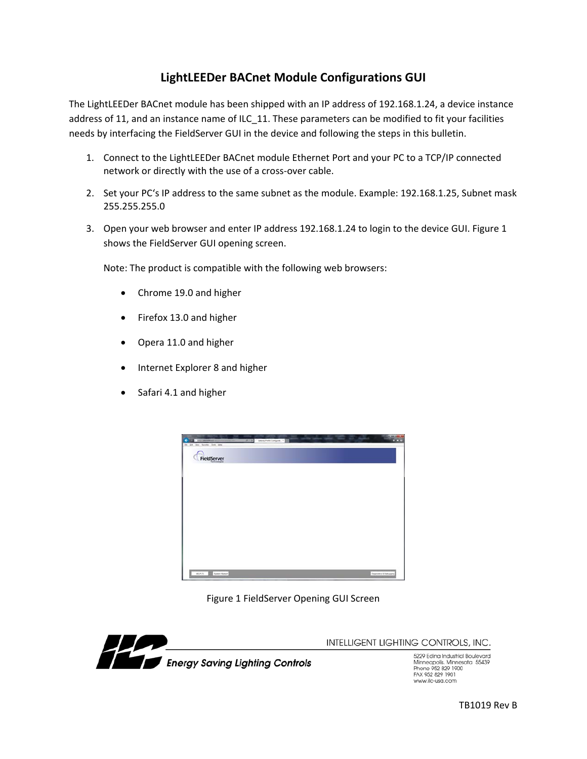## **LightLEEDer BACnet Module Configurations GUI**

The LightLEEDer BACnet module has been shipped with an IP address of 192.168.1.24, a device instance address of 11, and an instance name of ILC\_11. These parameters can be modified to fit your facilities needs by interfacing the FieldServer GUI in the device and following the steps in this bulletin.

- 1. Connect to the LightLEEDer BACnet module Ethernet Port and your PC to a TCP/IP connected network or directly with the use of a cross‐over cable.
- 2. Set your PC's IP address to the same subnet as the module. Example: 192.168.1.25, Subnet mask 255.255.255.0
- 3. Open your web browser and enter IP address 192.168.1.24 to login to the device GUI. Figure 1 shows the FieldServer GUI opening screen.

Note: The product is compatible with the following web browsers:

- Chrome 19.0 and higher
- Firefox 13.0 and higher
- Opera 11.0 and higher
- Internet Explorer 8 and higher
- Safari 4.1 and higher



Figure 1 FieldServer Opening GUI Screen



INTELLIGENT LIGHTING CONTROLS, INC.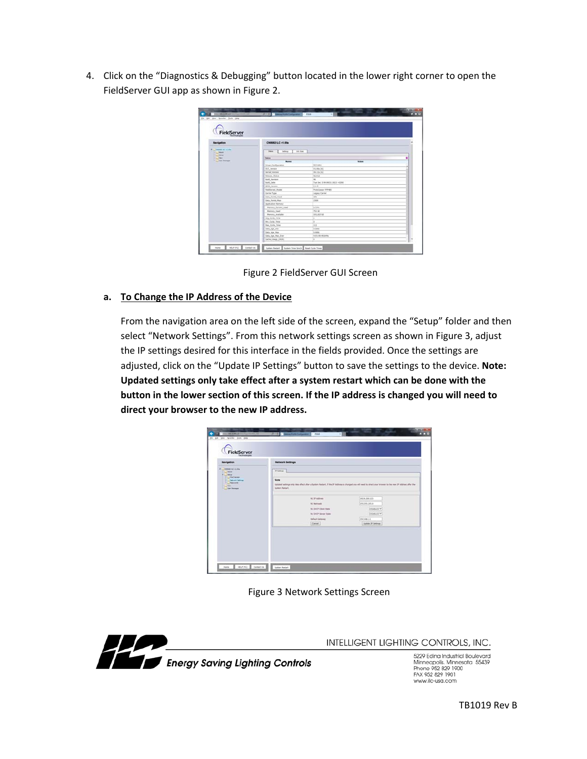4. Click on the "Diagnostics & Debugging" button located in the lower right corner to open the FieldServer GUI app as shown in Figure 2.

| FieldServer                           |                                                   |                               |           |
|---------------------------------------|---------------------------------------------------|-------------------------------|-----------|
| Navigation                            | CN06R2 ILC v1.00a                                 |                               |           |
| <b>CHARG BU HLANK</b><br><b>ABAJE</b> | <b>UALDING</b><br><b>Datus</b><br><b>Sellings</b> |                               |           |
| <b>Salva</b><br><b>March</b>          | <b><i><u><u>Instea</u></u></i></b>                |                               | $\bullet$ |
| John Painters                         | <b>Name</b>                                       | Value                         |           |
|                                       | Driver Cardiguration                              | <b>PCCARLE</b>                |           |
|                                       | DCC, Wentwood                                     | 3/1.00m (K)                   |           |
|                                       | <b>Samuel Vierston</b>                            | 16,13s (A)                    |           |
|                                       | <b>Release Status</b>                             | <b>Remain</b>                 |           |
|                                       | <b>Build Ravisium</b>                             | $\sim$                        |           |
|                                       | Build Date                                        | Tue Dec 3 00-06:31 2013 +1230 |           |
|                                       | <b>RE25 Version</b>                               | 223                           |           |
|                                       | Faktilanust, Modul                                | Protect answer 600-445        |           |
|                                       | Carrier Type                                      | <b>Legaly Carrer</b>          |           |
|                                       | Cuta, Painti, Ilsail                              | 181                           |           |
|                                       | Cota, Points, Max                                 | 1300                          |           |
|                                       | Application Memory:                               |                               |           |
|                                       | Markety, Percent Lisad                            | 0.73%                         |           |
|                                       | Memory, Used                                      | <b>Phil kd</b>                |           |
|                                       | Memory, Available                                 | 971,613 98                    |           |
|                                       | Jun Cock Tone                                     | 18                            |           |
|                                       | Mrs. Cycle, Yone                                  | т                             |           |
|                                       | Max Cycle Time                                    | 288                           |           |
|                                       | Data Jun Ave                                      | 0.003                         |           |
|                                       | Data: Age, Max                                    | <b>3.000</b>                  |           |
|                                       | Data: Age: Man. Ever                              | 4-22-59-43-044                |           |
|                                       | Carly Usage (RDE)                                 | im.                           |           |

Figure 2 FieldServer GUI Screen

## **a. To Change the IP Address of the Device**

From the navigation area on the left side of the screen, expand the "Setup" folder and then select "Network Settings". From this network settings screen as shown in Figure 3, adjust the IP settings desired for this interface in the fields provided. Once the settings are adjusted, click on the "Update IP Settings" button to save the settings to the device. **Note: Updated settings only take effect after a system restart which can be done with the button in the lower section of this screen. If the IP address is changed you will need to direct your browser to the new IP address.**

| FieldServer                                                                                                                                                   |                                        |                            |                                                                                                                                                                 |  |
|---------------------------------------------------------------------------------------------------------------------------------------------------------------|----------------------------------------|----------------------------|-----------------------------------------------------------------------------------------------------------------------------------------------------------------|--|
| Navigation                                                                                                                                                    | <b>Network Settings</b>                |                            |                                                                                                                                                                 |  |
| <b>CHARG BE HLIFA</b><br><b>MALA</b><br><b>Status</b><br><b>U</b> File Transfer<br><b>Network Settings</b><br><b>Family AV</b><br><b>Sec.</b><br>. Hot Thomps | If Sellege                             |                            |                                                                                                                                                                 |  |
|                                                                                                                                                               | <b>None</b><br><b>Business Fundant</b> |                            | listated actings only take effect after a System Restart. If the 17 Additions is changed you will need to direct your browser to the new 17 Additions after the |  |
|                                                                                                                                                               |                                        | MI 37 Althesi              | 1403 9-209-123                                                                                                                                                  |  |
|                                                                                                                                                               |                                        | N1 Notingal                | 2011218-015.0                                                                                                                                                   |  |
|                                                                                                                                                               |                                        | <b>NI DICF Class State</b> | DOMAILED W                                                                                                                                                      |  |
|                                                                                                                                                               |                                        | NJ Dietz Sener State       | <b>COSARLES W</b>                                                                                                                                               |  |
|                                                                                                                                                               |                                        | Default Canness            | 192, 198, 1.4                                                                                                                                                   |  |
|                                                                                                                                                               |                                        | Canal                      | <b>Tipida 3' Settings</b>                                                                                                                                       |  |

Figure 3 Network Settings Screen



INTELLIGENT LIGHTING CONTROLS, INC.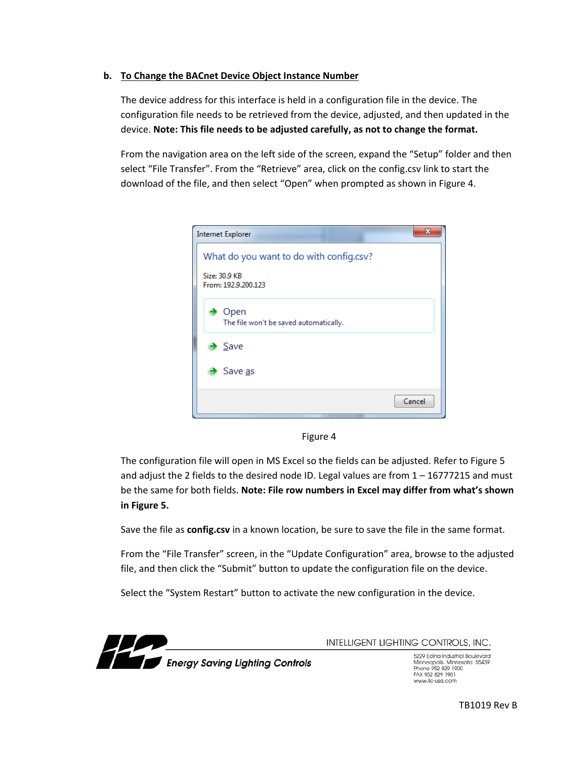## **b. To Change the BACnet Device Object Instance Number**

The device address for this interface is held in a configuration file in the device. The configuration file needs to be retrieved from the device, adjusted, and then updated in the device. **Note: This file needs to be adjusted carefully, as not to change the format.**

From the navigation area on the left side of the screen, expand the "Setup" folder and then select "File Transfer". From the "Retrieve" area, click on the config.csv link to start the download of the file, and then select "Open" when prompted as shown in Figure 4.

| <b>Internet Explorer</b>                                                        |        |
|---------------------------------------------------------------------------------|--------|
| What do you want to do with config.csv?<br>Size: 30.9 KB<br>From: 192.9.200.123 |        |
| Open<br>The file won't be saved automatically.                                  |        |
| $\rightarrow$ Save                                                              |        |
| $\rightarrow$ Save as                                                           |        |
|                                                                                 | Cancel |

Figure 4

The configuration file will open in MS Excel so the fields can be adjusted. Refer to Figure 5 and adjust the 2 fields to the desired node ID. Legal values are from  $1 - 16777215$  and must be the same for both fields. **Note: File row numbers in Excel may differ from what's shown in Figure 5.**

Save the file as **config.csv** in a known location, be sure to save the file in the same format.

From the "File Transfer" screen, in the "Update Configuration" area, browse to the adjusted file, and then click the "Submit" button to update the configuration file on the device.

Select the "System Restart" button to activate the new configuration in the device.



INTELLIGENT LIGHTING CONTROLS, INC.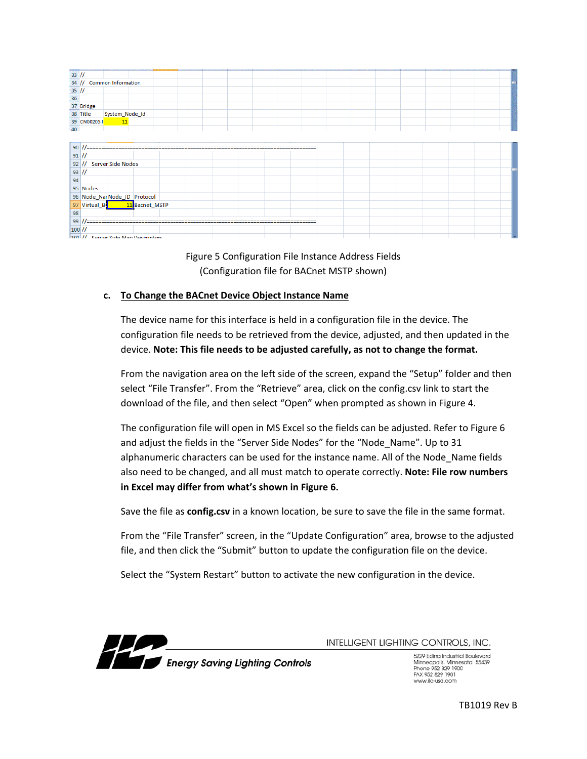| $33$ //         |               |                                                                  |                |  |  |  |  |  |  |  |
|-----------------|---------------|------------------------------------------------------------------|----------------|--|--|--|--|--|--|--|
|                 |               |                                                                  |                |  |  |  |  |  |  |  |
|                 |               |                                                                  |                |  |  |  |  |  |  |  |
|                 |               |                                                                  |                |  |  |  |  |  |  |  |
|                 |               | $\frac{34}{1}$ // Common Information<br>35 //<br>36<br>37 Bridge |                |  |  |  |  |  |  |  |
|                 | 38 Title      | System_Node_Id                                                   |                |  |  |  |  |  |  |  |
|                 | 39 CN002051   | $\overline{11}$                                                  |                |  |  |  |  |  |  |  |
| 40              |               |                                                                  |                |  |  |  |  |  |  |  |
|                 |               |                                                                  |                |  |  |  |  |  |  |  |
| 90 <sub>1</sub> |               |                                                                  |                |  |  |  |  |  |  |  |
| $91$ //         |               |                                                                  |                |  |  |  |  |  |  |  |
|                 |               | 92 // Server Side Nodes                                          |                |  |  |  |  |  |  |  |
| $93$ //         |               |                                                                  |                |  |  |  |  |  |  |  |
| 94              |               |                                                                  |                |  |  |  |  |  |  |  |
|                 | 95 Nodes      |                                                                  |                |  |  |  |  |  |  |  |
|                 |               |                                                                  |                |  |  |  |  |  |  |  |
|                 |               | 96 Node_Nar Node_ID Protocol                                     |                |  |  |  |  |  |  |  |
|                 | 97 Virtual_Bo |                                                                  | 11 Bacnet MSTP |  |  |  |  |  |  |  |
| 98              |               |                                                                  |                |  |  |  |  |  |  |  |
| 99              |               |                                                                  |                |  |  |  |  |  |  |  |
| $100$ //        |               |                                                                  |                |  |  |  |  |  |  |  |
|                 |               | 101 // Senyer Side Man Descriptors                               |                |  |  |  |  |  |  |  |

Figure 5 Configuration File Instance Address Fields (Configuration file for BACnet MSTP shown)

## **c. To Change the BACnet Device Object Instance Name**

The device name for this interface is held in a configuration file in the device. The configuration file needs to be retrieved from the device, adjusted, and then updated in the device. **Note: This file needs to be adjusted carefully, as not to change the format.**

From the navigation area on the left side of the screen, expand the "Setup" folder and then select "File Transfer". From the "Retrieve" area, click on the config.csv link to start the download of the file, and then select "Open" when prompted as shown in Figure 4.

The configuration file will open in MS Excel so the fields can be adjusted. Refer to Figure 6 and adjust the fields in the "Server Side Nodes" for the "Node Name". Up to 31 alphanumeric characters can be used for the instance name. All of the Node\_Name fields also need to be changed, and all must match to operate correctly. **Note: File row numbers in Excel may differ from what's shown in Figure 6.**

Save the file as **config.csv** in a known location, be sure to save the file in the same format.

From the "File Transfer" screen, in the "Update Configuration" area, browse to the adjusted file, and then click the "Submit" button to update the configuration file on the device.

Select the "System Restart" button to activate the new configuration in the device.



INTELLIGENT LIGHTING CONTROLS, INC.